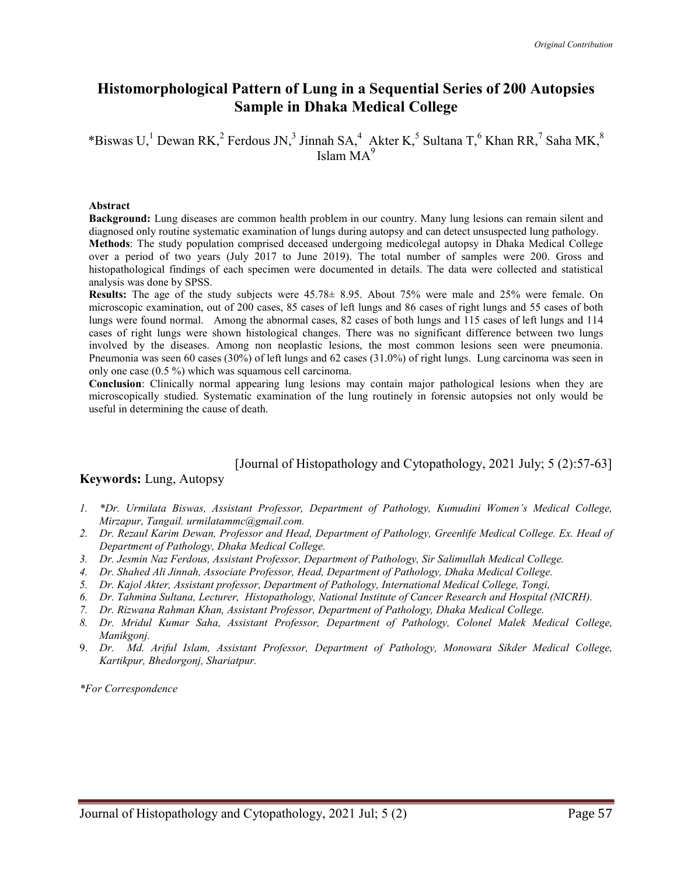## Histomorphological Pattern of Lung in a Sequential Series of 200 Autopsies Sample in Dhaka Medical College

\*Biswas U,<sup>1</sup> Dewan RK,<sup>2</sup> Ferdous JN,<sup>3</sup> Jinnah SA,<sup>4</sup> Akter K,<sup>5</sup> Sultana T,<sup>6</sup> Khan RR,<sup>7</sup> Saha MK,<sup>8</sup> Islam  $MA<sup>9</sup>$ 

#### Abstract

Background: Lung diseases are common health problem in our country. Many lung lesions can remain silent and diagnosed only routine systematic examination of lungs during autopsy and can detect unsuspected lung pathology. Methods: The study population comprised deceased undergoing medicolegal autopsy in Dhaka Medical College over a period of two years (July 2017 to June 2019). The total number of samples were 200. Gross and histopathological findings of each specimen were documented in details. The data were collected and statistical analysis was done by SPSS.

Results: The age of the study subjects were 45.78± 8.95. About 75% were male and 25% were female. On microscopic examination, out of 200 cases, 85 cases of left lungs and 86 cases of right lungs and 55 cases of both lungs were found normal. Among the abnormal cases, 82 cases of both lungs and 115 cases of left lungs and 114 cases of right lungs were shown histological changes. There was no significant difference between two lungs involved by the diseases. Among non neoplastic lesions, the most common lesions seen were pneumonia. Pneumonia was seen 60 cases (30%) of left lungs and 62 cases (31.0%) of right lungs. Lung carcinoma was seen in only one case (0.5 %) which was squamous cell carcinoma.

Conclusion: Clinically normal appearing lung lesions may contain major pathological lesions when they are microscopically studied. Systematic examination of the lung routinely in forensic autopsies not only would be useful in determining the cause of death.

#### [Journal of Histopathology and Cytopathology, 2021 July; 5 (2):57-63]

#### Keywords: Lung, Autopsy

- 1. \*Dr. Urmilata Biswas, Assistant Professor, Department of Pathology, Kumudini Women's Medical College, Mirzapur, Tangail. urmilatammc@gmail.com.
- 2. Dr. Rezaul Karim Dewan, Professor and Head, Department of Pathology, Greenlife Medical College. Ex. Head of Department of Pathology, Dhaka Medical College.
- 3. Dr. Jesmin Naz Ferdous, Assistant Professor, Department of Pathology, Sir Salimullah Medical College.
- 4. Dr. Shahed Ali Jinnah, Associate Professor, Head, Department of Pathology, Dhaka Medical College.
- 5. Dr. Kajol Akter, Assistant professor, Department of Pathology, International Medical College, Tongi,
- 6. Dr. Tahmina Sultana, Lecturer, Histopathology, National Institute of Cancer Research and Hospital (NICRH).
- 7. Dr. Rizwana Rahman Khan, Assistant Professor, Department of Pathology, Dhaka Medical College.
- 8. Dr. Mridul Kumar Saha, Assistant Professor, Department of Pathology, Colonel Malek Medical College, Manikgonj.
- 9. Dr. Md. Ariful Islam, Assistant Professor, Department of Pathology, Monowara Sikder Medical College, Kartikpur, Bhedorgonj, Shariatpur.

\*For Correspondence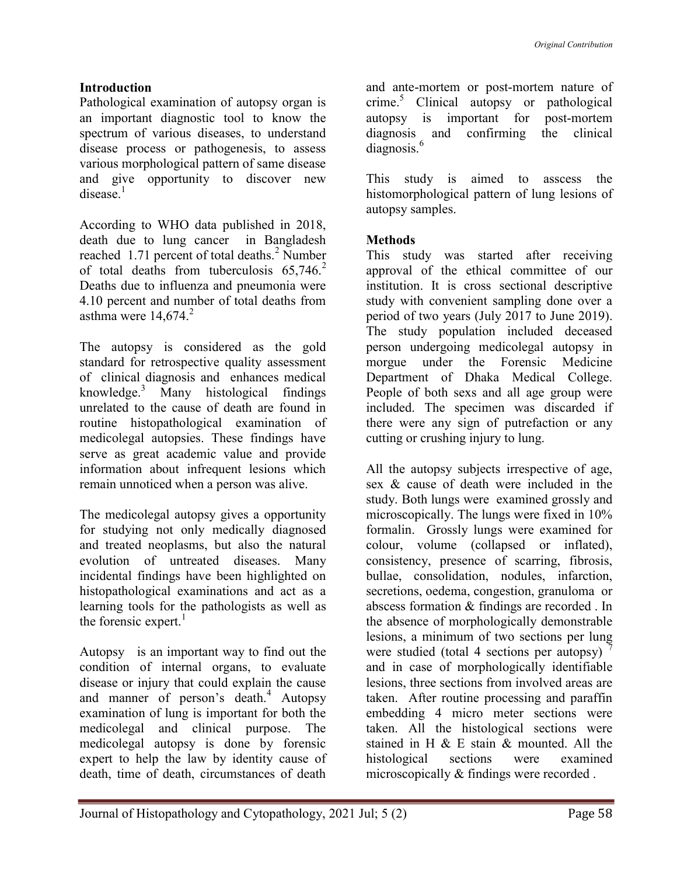### Introduction

Pathological examination of autopsy organ is an important diagnostic tool to know the spectrum of various diseases, to understand disease process or pathogenesis, to assess various morphological pattern of same disease and give opportunity to discover new  $disease.<sup>1</sup>$ 

According to WHO data published in 2018, death due to lung cancer in Bangladesh reached 1.71 percent of total deaths.<sup>2</sup> Number of total deaths from tuberculosis  $65,746$ <sup>2</sup> Deaths due to influenza and pneumonia were 4.10 percent and number of total deaths from asthma were  $14.674<sup>2</sup>$ 

The autopsy is considered as the gold standard for retrospective quality assessment of clinical diagnosis and enhances medical knowledge.<sup>3</sup> Many histological findings unrelated to the cause of death are found in routine histopathological examination of medicolegal autopsies. These findings have serve as great academic value and provide information about infrequent lesions which remain unnoticed when a person was alive.

The medicolegal autopsy gives a opportunity for studying not only medically diagnosed and treated neoplasms, but also the natural evolution of untreated diseases. Many incidental findings have been highlighted on histopathological examinations and act as a learning tools for the pathologists as well as the forensic expert. $<sup>1</sup>$ </sup>

Autopsy is an important way to find out the condition of internal organs, to evaluate disease or injury that could explain the cause and manner of person's death.<sup>4</sup> Autopsy examination of lung is important for both the medicolegal and clinical purpose. The medicolegal autopsy is done by forensic expert to help the law by identity cause of death, time of death, circumstances of death

and ante-mortem or post-mortem nature of crime.<sup>5</sup> Clinical autopsy or pathological autopsy is important for post-mortem diagnosis and confirming the clinical diagnosis.<sup>6</sup>

This study is aimed to asscess the histomorphological pattern of lung lesions of autopsy samples.

### Methods

This study was started after receiving approval of the ethical committee of our institution. It is cross sectional descriptive study with convenient sampling done over a period of two years (July 2017 to June 2019). The study population included deceased person undergoing medicolegal autopsy in morgue under the Forensic Medicine Department of Dhaka Medical College. People of both sexs and all age group were included. The specimen was discarded if there were any sign of putrefaction or any cutting or crushing injury to lung.

All the autopsy subjects irrespective of age, sex & cause of death were included in the study. Both lungs were examined grossly and microscopically. The lungs were fixed in 10% formalin. Grossly lungs were examined for colour, volume (collapsed or inflated), consistency, presence of scarring, fibrosis, bullae, consolidation, nodules, infarction, secretions, oedema, congestion, granuloma or abscess formation & findings are recorded . In the absence of morphologically demonstrable lesions, a minimum of two sections per lung were studied (total 4 sections per autopsy) and in case of morphologically identifiable lesions, three sections from involved areas are taken. After routine processing and paraffin embedding 4 micro meter sections were taken. All the histological sections were stained in H & E stain & mounted. All the histological sections were examined microscopically & findings were recorded .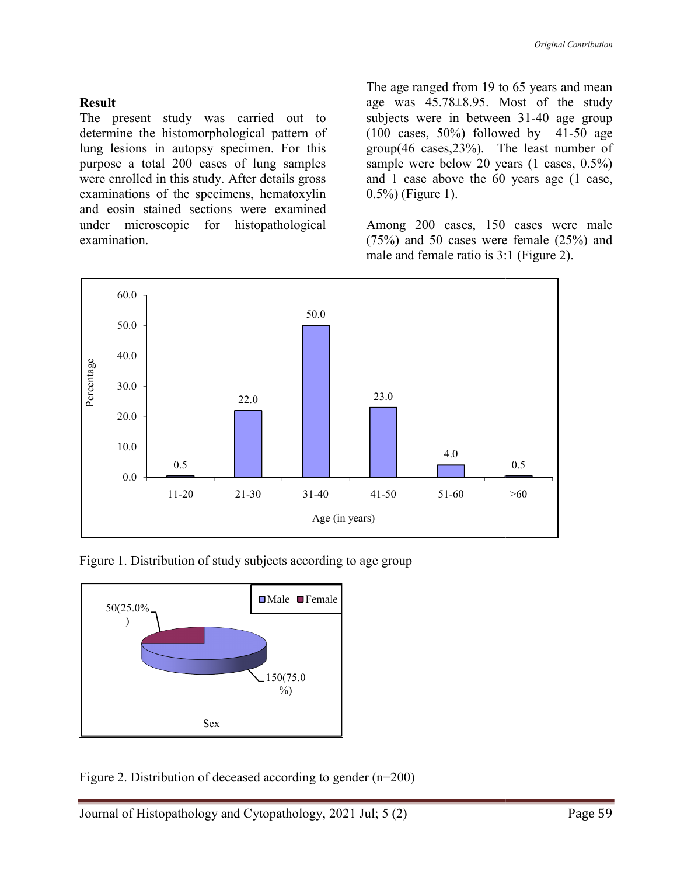#### Result

The present study was carried out to determine the histomorphological pattern of lung lesions in autopsy specimen. For this purpose a total 200 cases of lung samples were enrolled in this study. After details gross examinations of the specimens, hematoxylin and eosin stained sections were examined under microscopic for histopathological examination.

The age ranged from 19 to 65 years and mean<br>
age was 45.78±8.95. Most of the study<br>
present study was carried out to<br>
subjects were in between 31-40 age group<br>
inne the histomorphological pattern of<br>
(100 cases, 50%) follo age was 45.78±8.95. Most of the study age was 45.78±8.95. Most of the study subjects were in between 31-40 age group (100 cases, 50%) followed by 41 41-50 age group(46 cases,23%). The least number of sample were below 20 years (1 cases, 0.5%) and 1 case above the 60 years age (1 case, 0.5%) (Figure 1).

Among 200 cases, 150 cases were male (75%) and 50 cases were female (25%) and male and female ratio is 3:1 (Figure 2). sample were below 20 years (1 cases, and 1 case above the 60 years age (1 0.5%) (Figure 1).<br>
Among 200 cases, 150 cases were (75%) and 50 cases were female (25%) male and female ratio is 3:1 (Figure 2).



Figure 1. Distribution of study subjects according to age group



Figure 2. Distribution of deceased according to gender (n=200)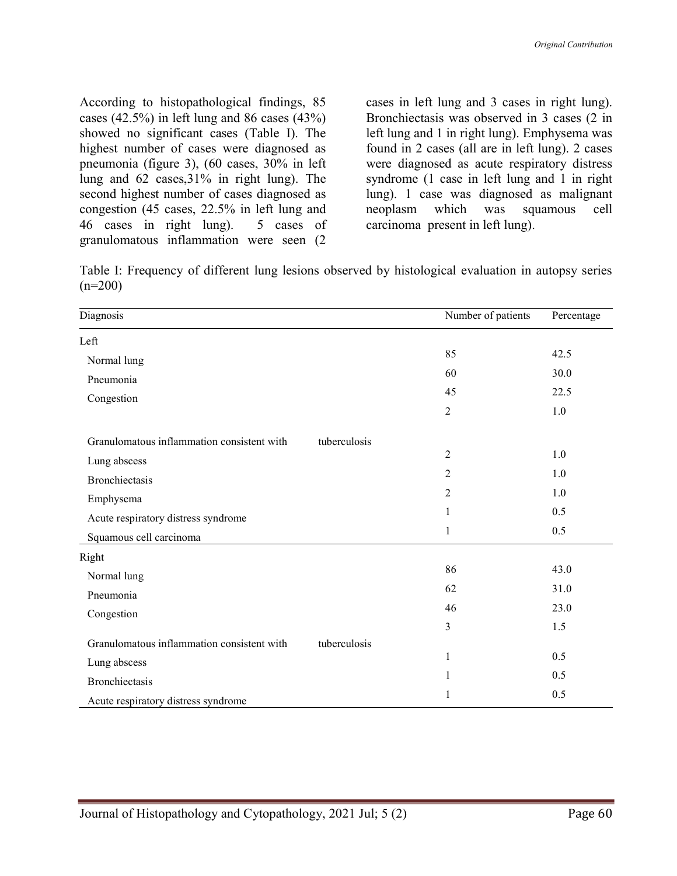According to histopathological findings, 85 cases (42.5%) in left lung and 86 cases (43%) showed no significant cases (Table I). The highest number of cases were diagnosed as pneumonia (figure 3), (60 cases, 30% in left lung and 62 cases,31% in right lung). The second highest number of cases diagnosed as congestion (45 cases, 22.5% in left lung and 46 cases in right lung). 5 cases of granulomatous inflammation were seen (2 cases in left lung and 3 cases in right lung). Bronchiectasis was observed in 3 cases (2 in left lung and 1 in right lung). Emphysema was found in 2 cases (all are in left lung). 2 cases were diagnosed as acute respiratory distress syndrome (1 case in left lung and 1 in right lung). 1 case was diagnosed as malignant neoplasm which was squamous cell carcinoma present in left lung).

Table I: Frequency of different lung lesions observed by histological evaluation in autopsy series  $(n=200)$ 

| Diagnosis                                  |              | Number of patients | Percentage |
|--------------------------------------------|--------------|--------------------|------------|
| Left                                       |              |                    |            |
| Normal lung                                |              | 85                 | 42.5       |
| Pneumonia                                  |              | 60                 | 30.0       |
| Congestion                                 |              | 45                 | 22.5       |
|                                            |              | $\overline{c}$     | $1.0\,$    |
| Granulomatous inflammation consistent with | tuberculosis |                    |            |
| Lung abscess                               |              | $\overline{2}$     | 1.0        |
| Bronchiectasis                             |              | $\overline{2}$     | 1.0        |
| Emphysema                                  |              | 2                  | 1.0        |
| Acute respiratory distress syndrome        |              | 1                  | 0.5        |
| Squamous cell carcinoma                    |              | 1                  | 0.5        |
| Right                                      |              |                    |            |
| Normal lung                                |              | 86                 | 43.0       |
| Pneumonia                                  |              | 62                 | 31.0       |
| Congestion                                 |              | 46                 | 23.0       |
|                                            |              | 3                  | 1.5        |
| Granulomatous inflammation consistent with | tuberculosis |                    |            |
| Lung abscess                               |              | $\mathbf{1}$       | 0.5        |
| Bronchiectasis                             |              | 1                  | 0.5        |
| Acute respiratory distress syndrome        |              | 1                  | 0.5        |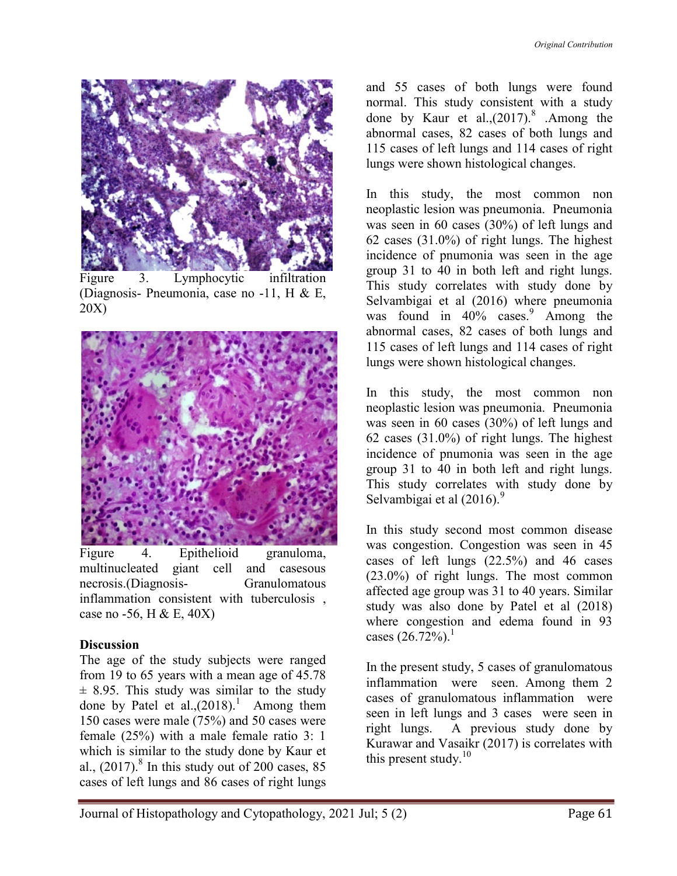

Figure 3. Lymphocytic infiltration (Diagnosis- Pneumonia, case no -11, H & E, 20X)



Figure 4. Epithelioid granuloma, multinucleated giant cell and casesous necrosis.(Diagnosis- Granulomatous inflammation consistent with tuberculosis , case no -56, H & E, 40X)

## **Discussion**

The age of the study subjects were ranged from 19 to 65 years with a mean age of 45.78  $\pm$  8.95. This study was similar to the study done by Patel et al., $(2018)$ .<sup>1</sup> Among them 150 cases were male (75%) and 50 cases were female (25%) with a male female ratio 3: 1 which is similar to the study done by Kaur et al.,  $(2017)$ .<sup>8</sup> In this study out of 200 cases, 85 cases of left lungs and 86 cases of right lungs

and 55 cases of both lungs were found normal. This study consistent with a study done by Kaur et al., $(2017).$ <sup>8</sup> .Among the abnormal cases, 82 cases of both lungs and 115 cases of left lungs and 114 cases of right lungs were shown histological changes.

In this study, the most common non neoplastic lesion was pneumonia. Pneumonia was seen in 60 cases (30%) of left lungs and 62 cases (31.0%) of right lungs. The highest incidence of pnumonia was seen in the age group 31 to 40 in both left and right lungs. This study correlates with study done by Selvambigai et al (2016) where pneumonia was found in 40% cases.<sup>9</sup> Among the abnormal cases, 82 cases of both lungs and 115 cases of left lungs and 114 cases of right lungs were shown histological changes.

In this study, the most common non neoplastic lesion was pneumonia. Pneumonia was seen in 60 cases (30%) of left lungs and 62 cases (31.0%) of right lungs. The highest incidence of pnumonia was seen in the age group 31 to 40 in both left and right lungs. This study correlates with study done by Selvambigai et al  $(2016)$ .<sup>9</sup>

In this study second most common disease was congestion. Congestion was seen in 45 cases of left lungs (22.5%) and 46 cases (23.0%) of right lungs. The most common affected age group was 31 to 40 years. Similar study was also done by Patel et al (2018) where congestion and edema found in 93 cases  $(26.72\%)$ <sup>1</sup>

In the present study, 5 cases of granulomatous inflammation were seen. Among them 2 cases of granulomatous inflammation were seen in left lungs and 3 cases were seen in right lungs. A previous study done by Kurawar and Vasaikr (2017) is correlates with this present study. $10$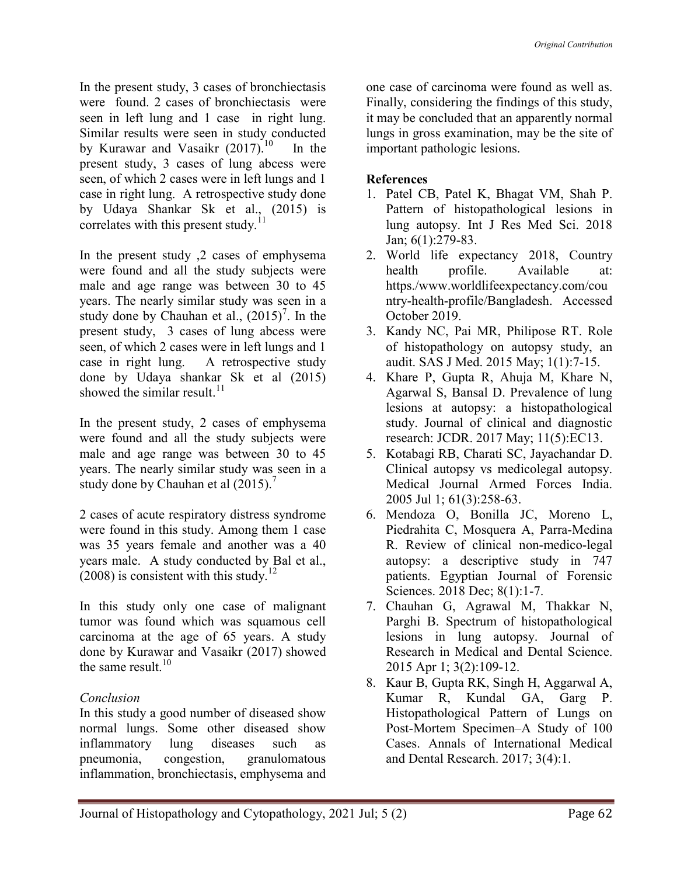In the present study, 3 cases of bronchiectasis were found. 2 cases of bronchiectasis were seen in left lung and 1 case in right lung. Similar results were seen in study conducted by Kurawar and Vasaikr  $(2017).^{10}$  In the present study, 3 cases of lung abcess were seen, of which 2 cases were in left lungs and 1 case in right lung. A retrospective study done by Udaya Shankar Sk et al., (2015) is correlates with this present study.<sup>1</sup>

In the present study ,2 cases of emphysema were found and all the study subjects were male and age range was between 30 to 45 years. The nearly similar study was seen in a study done by Chauhan et al.,  $(2015)^7$ . In the present study, 3 cases of lung abcess were seen, of which 2 cases were in left lungs and 1 case in right lung. A retrospective study done by Udaya shankar Sk et al (2015) showed the similar result. $11$ 

In the present study, 2 cases of emphysema were found and all the study subjects were male and age range was between 30 to 45 years. The nearly similar study was seen in a study done by Chauhan et al  $(2015)$ .<sup>7</sup>

2 cases of acute respiratory distress syndrome were found in this study. Among them 1 case was 35 years female and another was a 40 years male. A study conducted by Bal et al.,  $(2008)$  is consistent with this study.<sup>12</sup>

In this study only one case of malignant tumor was found which was squamous cell carcinoma at the age of 65 years. A study done by Kurawar and Vasaikr (2017) showed the same result. $10$ 

## Conclusion

In this study a good number of diseased show normal lungs. Some other diseased show inflammatory lung diseases such as pneumonia, congestion, granulomatous inflammation, bronchiectasis, emphysema and one case of carcinoma were found as well as. Finally, considering the findings of this study, it may be concluded that an apparently normal lungs in gross examination, may be the site of important pathologic lesions.

# References

- 1. Patel CB, Patel K, Bhagat VM, Shah P. Pattern of histopathological lesions in lung autopsy. Int J Res Med Sci. 2018 Jan; 6(1):279-83.
- 2. World life expectancy 2018, Country health profile. Available at: https./www.worldlifeexpectancy.com/cou ntry-health-profile/Bangladesh. Accessed October 2019.
- 3. Kandy NC, Pai MR, Philipose RT. Role of histopathology on autopsy study, an audit. SAS J Med. 2015 May; 1(1):7-15.
- 4. Khare P, Gupta R, Ahuja M, Khare N, Agarwal S, Bansal D. Prevalence of lung lesions at autopsy: a histopathological study. Journal of clinical and diagnostic research: JCDR. 2017 May; 11(5):EC13.
- 5. Kotabagi RB, Charati SC, Jayachandar D. Clinical autopsy vs medicolegal autopsy. Medical Journal Armed Forces India. 2005 Jul 1; 61(3):258-63.
- 6. Mendoza O, Bonilla JC, Moreno L, Piedrahita C, Mosquera A, Parra-Medina R. Review of clinical non-medico-legal autopsy: a descriptive study in 747 patients. Egyptian Journal of Forensic Sciences. 2018 Dec; 8(1):1-7.
- 7. Chauhan G, Agrawal M, Thakkar N, Parghi B. Spectrum of histopathological lesions in lung autopsy. Journal of Research in Medical and Dental Science. 2015 Apr 1; 3(2):109-12.
- 8. Kaur B, Gupta RK, Singh H, Aggarwal A, Kumar R, Kundal GA, Garg P. Histopathological Pattern of Lungs on Post-Mortem Specimen–A Study of 100 Cases. Annals of International Medical and Dental Research. 2017; 3(4):1.